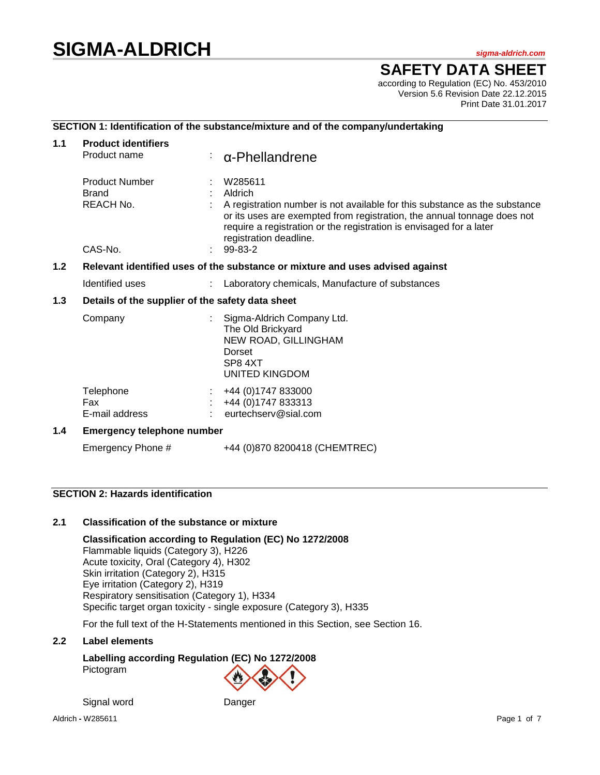# **SIGMA-ALDRICH** *sigma-aldrich.com*

**SAFETY DATA SHEET**

according to Regulation (EC) No. 453/2010 Version 5.6 Revision Date 22.12.2015 Print Date 31.01.2017

## **SECTION 1: Identification of the substance/mixture and of the company/undertaking**

| 1.1 | <b>Product identifiers</b>                                                           |  |                                                                                                                                                                                                                                                                                         |  |  |
|-----|--------------------------------------------------------------------------------------|--|-----------------------------------------------------------------------------------------------------------------------------------------------------------------------------------------------------------------------------------------------------------------------------------------|--|--|
|     | Product name                                                                         |  | $\alpha$ -Phellandrene                                                                                                                                                                                                                                                                  |  |  |
|     | <b>Product Number</b><br><b>Brand</b><br>REACH No.<br>CAS-No.                        |  | W285611<br>Aldrich<br>A registration number is not available for this substance as the substance<br>or its uses are exempted from registration, the annual tonnage does not<br>require a registration or the registration is envisaged for a later<br>registration deadline.<br>99-83-2 |  |  |
|     |                                                                                      |  |                                                                                                                                                                                                                                                                                         |  |  |
|     | 1.2<br>Relevant identified uses of the substance or mixture and uses advised against |  |                                                                                                                                                                                                                                                                                         |  |  |
|     | Identified uses                                                                      |  | Laboratory chemicals, Manufacture of substances                                                                                                                                                                                                                                         |  |  |
| 1.3 | Details of the supplier of the safety data sheet                                     |  |                                                                                                                                                                                                                                                                                         |  |  |
|     | Company                                                                              |  | Sigma-Aldrich Company Ltd.<br>The Old Brickyard<br>NEW ROAD, GILLINGHAM<br>Dorset<br>SP84XT<br>UNITED KINGDOM                                                                                                                                                                           |  |  |
|     | Telephone<br>Fax<br>E-mail address                                                   |  | +44 (0) 1747 833000<br>+44 (0) 1747 833313<br>eurtechserv@sial.com                                                                                                                                                                                                                      |  |  |
| 1.4 | <b>Emergency telephone number</b>                                                    |  |                                                                                                                                                                                                                                                                                         |  |  |
|     | Emergency Phone #                                                                    |  | +44 (0)870 8200418 (CHEMTREC)                                                                                                                                                                                                                                                           |  |  |

## **SECTION 2: Hazards identification**

#### **2.1 Classification of the substance or mixture**

**Classification according to Regulation (EC) No 1272/2008** Flammable liquids (Category 3), H226 Acute toxicity, Oral (Category 4), H302 Skin irritation (Category 2), H315 Eye irritation (Category 2), H319 Respiratory sensitisation (Category 1), H334 Specific target organ toxicity - single exposure (Category 3), H335

For the full text of the H-Statements mentioned in this Section, see Section 16.

#### **2.2 Label elements**

**Labelling according Regulation (EC) No 1272/2008** Pictogram

Signal word Danger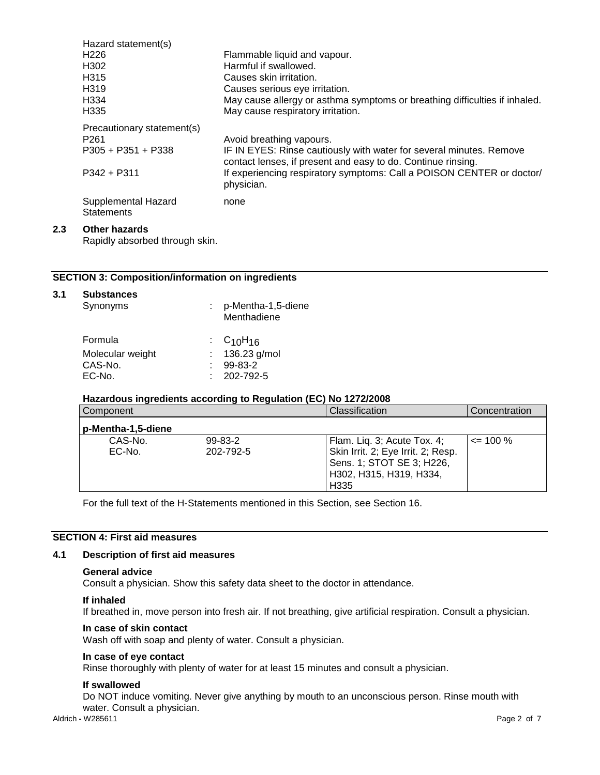| Hazard statement(s)                      |                                                                                                                                     |
|------------------------------------------|-------------------------------------------------------------------------------------------------------------------------------------|
| H <sub>226</sub>                         | Flammable liquid and vapour.                                                                                                        |
| H302                                     | Harmful if swallowed.                                                                                                               |
| H <sub>3</sub> 15                        | Causes skin irritation.                                                                                                             |
| H <sub>3</sub> 19                        | Causes serious eye irritation.                                                                                                      |
| H334                                     | May cause allergy or asthma symptoms or breathing difficulties if inhaled.                                                          |
| H <sub>335</sub>                         | May cause respiratory irritation.                                                                                                   |
| Precautionary statement(s)               |                                                                                                                                     |
| P <sub>261</sub>                         | Avoid breathing vapours.                                                                                                            |
| $P305 + P351 + P338$                     | IF IN EYES: Rinse cautiously with water for several minutes. Remove<br>contact lenses, if present and easy to do. Continue rinsing. |
| $P342 + P311$                            | If experiencing respiratory symptoms: Call a POISON CENTER or doctor/<br>physician.                                                 |
| Supplemental Hazard<br><b>Statements</b> | none                                                                                                                                |
|                                          |                                                                                                                                     |

#### **2.3 Other hazards**

Rapidly absorbed through skin.

## **SECTION 3: Composition/information on ingredients**

| 3.1 | <b>Substances</b><br>Synonyms | p-Mentha-1,5-diene<br>Menthadiene |
|-----|-------------------------------|-----------------------------------|
|     | Formula                       | : $C_{10}H_{16}$                  |
|     | Molecular weight              | 136.23 g/mol                      |
|     | CAS-No.                       | 99-83-2                           |
|     | EC-No.                        | 202-792-5                         |

#### **Hazardous ingredients according to Regulation (EC) No 1272/2008**

| Component          |                            | Classification                                                                                                                    | Concentration |
|--------------------|----------------------------|-----------------------------------------------------------------------------------------------------------------------------------|---------------|
| p-Mentha-1,5-diene |                            |                                                                                                                                   |               |
| CAS-No.<br>$EC-No$ | $99 - 83 - 2$<br>202-792-5 | Flam. Liq. 3; Acute Tox. 4;<br>Skin Irrit. 2; Eye Irrit. 2; Resp.<br>Sens. 1; STOT SE 3; H226,<br>H302, H315, H319, H334,<br>H335 | $\leq$ 100 %  |

For the full text of the H-Statements mentioned in this Section, see Section 16.

## **SECTION 4: First aid measures**

## **4.1 Description of first aid measures**

#### **General advice**

Consult a physician. Show this safety data sheet to the doctor in attendance.

#### **If inhaled**

If breathed in, move person into fresh air. If not breathing, give artificial respiration. Consult a physician.

#### **In case of skin contact**

Wash off with soap and plenty of water. Consult a physician.

#### **In case of eye contact**

Rinse thoroughly with plenty of water for at least 15 minutes and consult a physician.

#### **If swallowed**

Do NOT induce vomiting. Never give anything by mouth to an unconscious person. Rinse mouth with water. Consult a physician.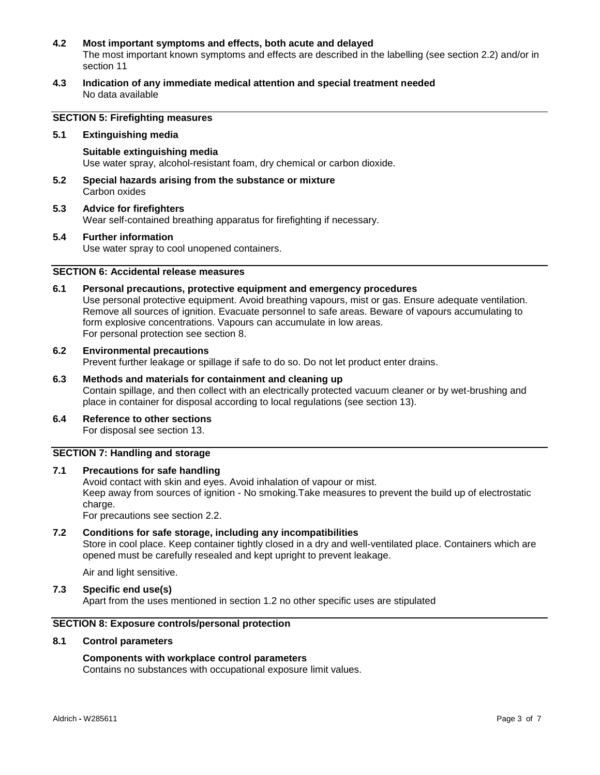#### **4.2 Most important symptoms and effects, both acute and delayed**

The most important known symptoms and effects are described in the labelling (see section 2.2) and/or in section 11

**4.3 Indication of any immediate medical attention and special treatment needed** No data available

## **SECTION 5: Firefighting measures**

#### **5.1 Extinguishing media**

**Suitable extinguishing media** Use water spray, alcohol-resistant foam, dry chemical or carbon dioxide.

- **5.2 Special hazards arising from the substance or mixture** Carbon oxides
- **5.3 Advice for firefighters** Wear self-contained breathing apparatus for firefighting if necessary.

#### **5.4 Further information**

Use water spray to cool unopened containers.

## **SECTION 6: Accidental release measures**

#### **6.1 Personal precautions, protective equipment and emergency procedures**

Use personal protective equipment. Avoid breathing vapours, mist or gas. Ensure adequate ventilation. Remove all sources of ignition. Evacuate personnel to safe areas. Beware of vapours accumulating to form explosive concentrations. Vapours can accumulate in low areas. For personal protection see section 8.

#### **6.2 Environmental precautions**

Prevent further leakage or spillage if safe to do so. Do not let product enter drains.

## **6.3 Methods and materials for containment and cleaning up**

Contain spillage, and then collect with an electrically protected vacuum cleaner or by wet-brushing and place in container for disposal according to local regulations (see section 13).

**6.4 Reference to other sections** For disposal see section 13.

## **SECTION 7: Handling and storage**

#### **7.1 Precautions for safe handling**

Avoid contact with skin and eyes. Avoid inhalation of vapour or mist. Keep away from sources of ignition - No smoking.Take measures to prevent the build up of electrostatic charge.

For precautions see section 2.2.

#### **7.2 Conditions for safe storage, including any incompatibilities**

Store in cool place. Keep container tightly closed in a dry and well-ventilated place. Containers which are opened must be carefully resealed and kept upright to prevent leakage.

Air and light sensitive.

#### **7.3 Specific end use(s)**

Apart from the uses mentioned in section 1.2 no other specific uses are stipulated

#### **SECTION 8: Exposure controls/personal protection**

#### **8.1 Control parameters**

#### **Components with workplace control parameters**

Contains no substances with occupational exposure limit values.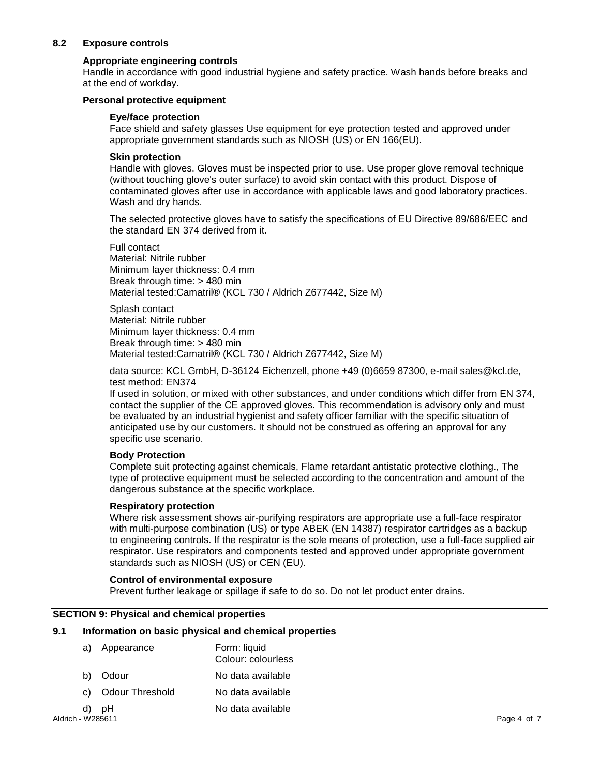## **8.2 Exposure controls**

#### **Appropriate engineering controls**

Handle in accordance with good industrial hygiene and safety practice. Wash hands before breaks and at the end of workday.

#### **Personal protective equipment**

#### **Eye/face protection**

Face shield and safety glasses Use equipment for eye protection tested and approved under appropriate government standards such as NIOSH (US) or EN 166(EU).

#### **Skin protection**

Handle with gloves. Gloves must be inspected prior to use. Use proper glove removal technique (without touching glove's outer surface) to avoid skin contact with this product. Dispose of contaminated gloves after use in accordance with applicable laws and good laboratory practices. Wash and dry hands.

The selected protective gloves have to satisfy the specifications of EU Directive 89/686/EEC and the standard EN 374 derived from it.

Full contact Material: Nitrile rubber Minimum layer thickness: 0.4 mm Break through time: > 480 min Material tested:Camatril® (KCL 730 / Aldrich Z677442, Size M)

Splash contact Material: Nitrile rubber Minimum layer thickness: 0.4 mm Break through time: > 480 min Material tested:Camatril® (KCL 730 / Aldrich Z677442, Size M)

data source: KCL GmbH, D-36124 Eichenzell, phone +49 (0)6659 87300, e-mail sales@kcl.de, test method: EN374

If used in solution, or mixed with other substances, and under conditions which differ from EN 374, contact the supplier of the CE approved gloves. This recommendation is advisory only and must be evaluated by an industrial hygienist and safety officer familiar with the specific situation of anticipated use by our customers. It should not be construed as offering an approval for any specific use scenario.

#### **Body Protection**

Complete suit protecting against chemicals, Flame retardant antistatic protective clothing., The type of protective equipment must be selected according to the concentration and amount of the dangerous substance at the specific workplace.

#### **Respiratory protection**

Where risk assessment shows air-purifying respirators are appropriate use a full-face respirator with multi-purpose combination (US) or type ABEK (EN 14387) respirator cartridges as a backup to engineering controls. If the respirator is the sole means of protection, use a full-face supplied air respirator. Use respirators and components tested and approved under appropriate government standards such as NIOSH (US) or CEN (EU).

#### **Control of environmental exposure**

Prevent further leakage or spillage if safe to do so. Do not let product enter drains.

#### **SECTION 9: Physical and chemical properties**

#### **9.1 Information on basic physical and chemical properties**

| a)                | Appearance      | Form: liquid<br>Colour: colourless |             |
|-------------------|-----------------|------------------------------------|-------------|
| b)                | Odour           | No data available                  |             |
| C)                | Odour Threshold | No data available                  |             |
| d)                | pH              | No data available                  |             |
| Aldrich - W285611 |                 |                                    | Page 4 of 7 |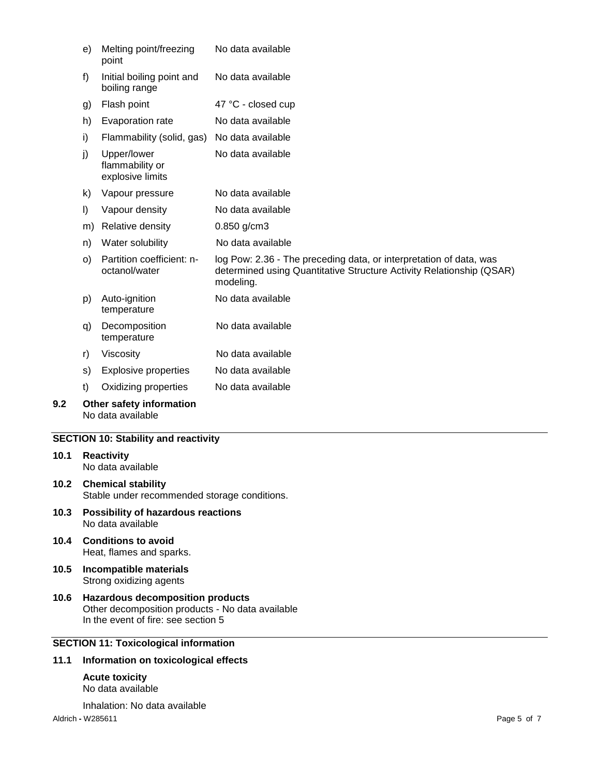|     | e)      | Melting point/freezing<br>point                    | No data available                                                                                                                                       |
|-----|---------|----------------------------------------------------|---------------------------------------------------------------------------------------------------------------------------------------------------------|
|     | f)      | Initial boiling point and<br>boiling range         | No data available                                                                                                                                       |
|     | g)      | Flash point                                        | 47 °C - closed cup                                                                                                                                      |
|     | h)      | Evaporation rate                                   | No data available                                                                                                                                       |
|     | i)      | Flammability (solid, gas)                          | No data available                                                                                                                                       |
|     | j)      | Upper/lower<br>flammability or<br>explosive limits | No data available                                                                                                                                       |
|     | k)      | Vapour pressure                                    | No data available                                                                                                                                       |
|     | $\vert$ | Vapour density                                     | No data available                                                                                                                                       |
|     | m)      | Relative density                                   | 0.850 g/cm3                                                                                                                                             |
|     | n)      | Water solubility                                   | No data available                                                                                                                                       |
|     | $\circ$ | Partition coefficient: n-<br>octanol/water         | log Pow: 2.36 - The preceding data, or interpretation of data, was<br>determined using Quantitative Structure Activity Relationship (QSAR)<br>modeling. |
|     | p)      | Auto-ignition<br>temperature                       | No data available                                                                                                                                       |
|     | q)      | Decomposition<br>temperature                       | No data available                                                                                                                                       |
|     | r)      | Viscosity                                          | No data available                                                                                                                                       |
|     | S)      | <b>Explosive properties</b>                        | No data available                                                                                                                                       |
|     | t)      | Oxidizing properties                               | No data available                                                                                                                                       |
| 9.2 |         | Other safety information<br>No data available      |                                                                                                                                                         |

## **SECTION 10: Stability and reactivity**

- **10.1 Reactivity** No data available
- **10.2 Chemical stability** Stable under recommended storage conditions.
- **10.3 Possibility of hazardous reactions** No data available
- **10.4 Conditions to avoid** Heat, flames and sparks.
- **10.5 Incompatible materials** Strong oxidizing agents
- **10.6 Hazardous decomposition products** Other decomposition products - No data available In the event of fire: see section 5

## **SECTION 11: Toxicological information**

#### **11.1 Information on toxicological effects**

**Acute toxicity** No data available

Inhalation: No data available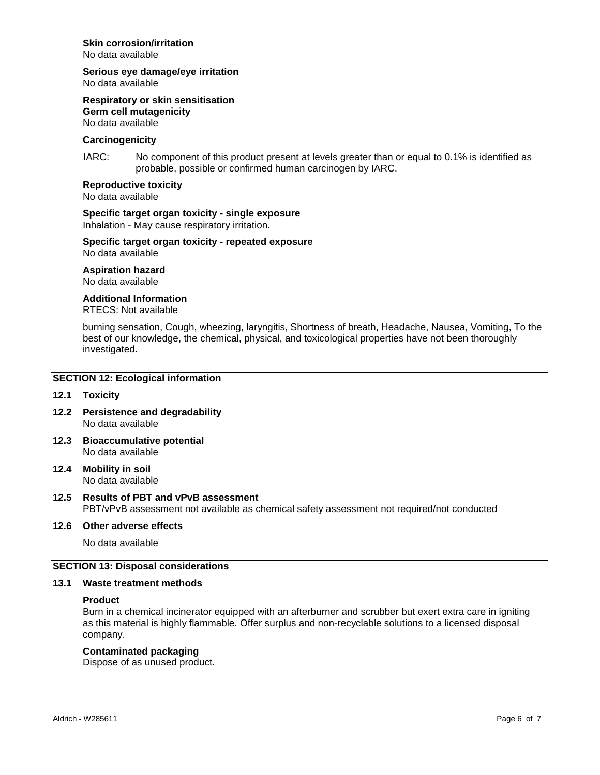#### **Skin corrosion/irritation**

No data available

**Serious eye damage/eye irritation**

No data available

**Respiratory or skin sensitisation Germ cell mutagenicity**

No data available

## **Carcinogenicity**

IARC: No component of this product present at levels greater than or equal to 0.1% is identified as probable, possible or confirmed human carcinogen by IARC.

**Reproductive toxicity**

No data available

## **Specific target organ toxicity - single exposure**

Inhalation - May cause respiratory irritation.

#### **Specific target organ toxicity - repeated exposure** No data available

**Aspiration hazard**

No data available

#### **Additional Information**

RTECS: Not available

burning sensation, Cough, wheezing, laryngitis, Shortness of breath, Headache, Nausea, Vomiting, To the best of our knowledge, the chemical, physical, and toxicological properties have not been thoroughly investigated.

#### **SECTION 12: Ecological information**

#### **12.1 Toxicity**

- **12.2 Persistence and degradability** No data available
- **12.3 Bioaccumulative potential** No data available
- **12.4 Mobility in soil** No data available

#### **12.5 Results of PBT and vPvB assessment** PBT/vPvB assessment not available as chemical safety assessment not required/not conducted

#### **12.6 Other adverse effects**

No data available

#### **SECTION 13: Disposal considerations**

#### **13.1 Waste treatment methods**

#### **Product**

Burn in a chemical incinerator equipped with an afterburner and scrubber but exert extra care in igniting as this material is highly flammable. Offer surplus and non-recyclable solutions to a licensed disposal company.

#### **Contaminated packaging**

Dispose of as unused product.